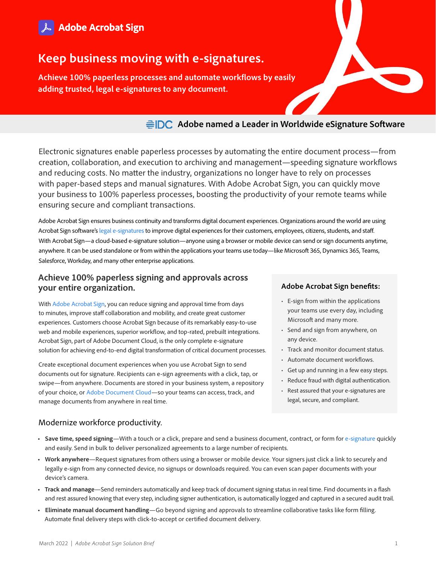

# **Keep business moving with e-signatures.**

**Achieve 100% paperless processes and automate workflows by easily adding trusted, legal e-signatures to any document.**

# **Adobe named a Leader in Worldwide eSignature Software**

Electronic signatures enable paperless processes by automating the entire document process—from creation, collaboration, and execution to archiving and management—speeding signature workflows and reducing costs. No matter the industry, organizations no longer have to rely on processes with paper-based steps and manual signatures. With Adobe Acrobat Sign, you can quickly move your business to 100% paperless processes, boosting the productivity of your remote teams while ensuring secure and compliant transactions.

Adobe Acrobat Sign ensures business continuity and transforms digital document experiences. Organizations around the world are using Acrobat Sign software's [legal e-signatures](https://acrobat.adobe.com/us/en/sign/compliance/electronic-signature-legality.html) to improve digital experiences for their customers, employees, citizens, students, and staff. With Acrobat Sign—a cloud-based e-signature solution—anyone using a browser or mobile device can send or sign documents anytime, anywhere. It can be used standalone or from within the applications your teams use today—like Microsoft 365, Dynamics 365, Teams, Salesforce, Workday, and many other enterprise applications.

### **Achieve 100% paperless signing and approvals across your entire organization.**

With [Adobe Acrobat Sign](https://acrobat.adobe.com/us/en/sign.html), you can reduce signing and approval time from days to minutes, improve staff collaboration and mobility, and create great customer experiences. Customers choose Acrobat Sign because of its remarkably easy-to-use web and mobile experiences, superior workflow, and top-rated, prebuilt integrations. Acrobat Sign, part of Adobe Document Cloud, is the only complete e-signature solution for achieving end-to-end digital transformation of critical document processes.

Create exceptional document experiences when you use Acrobat Sign to send documents out for signature. Recipients can e-sign agreements with a click, tap, or swipe—from anywhere. Documents are stored in your business system, a repository of your choice, or [Adobe Document Cloud—](https://acrobat.adobe.com/us/en/)so your teams can access, track, and manage documents from anywhere in real time.

## **Adobe Acrobat Sign benefits:**

- E-sign from within the applications your teams use every day, including Microsoft and many more.
- Send and sign from anywhere, on any device.
- Track and monitor document status.
- Automate document workflows.
- Get up and running in a few easy steps.
- Reduce fraud with digital authentication.
- Rest assured that your e-signatures are legal, secure, and compliant.

### Modernize workforce productivity.

- **• Save time, speed signing**—With a touch or a click, prepare and send a business document, contract, or form for [e-signature](https://acrobat.adobe.com/us/en/sign/electronic-signatures.html) quickly and easily. Send in bulk to deliver personalized agreements to a large number of recipients.
- **• Work anywhere**—Request signatures from others using a browser or mobile device. Your signers just click a link to securely and legally e-sign from any connected device, no signups or downloads required. You can even scan paper documents with your device's camera.
- **• Track and manage**—Send reminders automatically and keep track of document signing status in real time. Find documents in a flash and rest assured knowing that every step, including signer authentication, is automatically logged and captured in a secured audit trail.
- **• Eliminate manual document handling**—Go beyond signing and approvals to streamline collaborative tasks like form filling. Automate final delivery steps with click-to-accept or certified document delivery.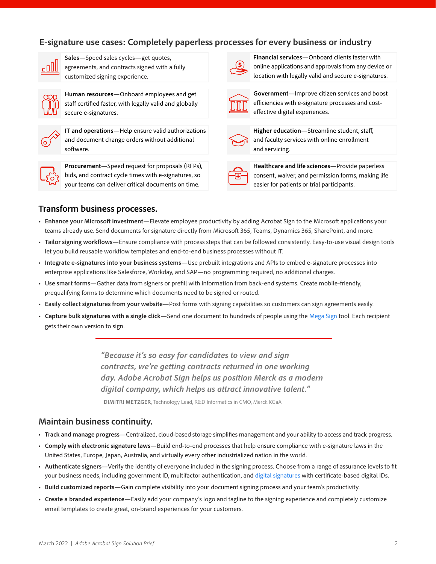## **E-signature use cases: Completely paperless processes for every business or industry**



**Sales**—Speed sales cycles—get quotes, agreements, and contracts signed with a fully customized signing experience.



**Human resources**—Onboard employees and get staff certified faster, with legally valid and globally secure e-signatures.



**IT and operations**—Help ensure valid authorizations and document change orders without additional software.



**Procurement**—Speed request for proposals (RFPs), bids, and contract cycle times with e-signatures, so your teams can deliver critical documents on time.



**Financial services**—Onboard clients faster with online applications and approvals from any device or location with legally valid and secure e-signatures.



**Government**—Improve citizen services and boost efficiencies with e-signature processes and costeffective digital experiences.



**Higher education**—Streamline student, staff, and faculty services with online enrollment and servicing.

**Healthcare and life sciences**—Provide paperless consent, waiver, and permission forms, making life easier for patients or trial participants.

### **Transform business processes.**

- **• Enhance your Microsoft investment**—Elevate employee productivity by adding Acrobat Sign to the Microsoft applications your teams already use. Send documents for signature directly from Microsoft 365, Teams, Dynamics 365, SharePoint, and more.
- **• Tailor signing workflows**—Ensure compliance with process steps that can be followed consistently. Easy-to-use visual design tools let you build reusable workflow templates and end-to-end business processes without IT.
- **• Integrate e-signatures into your business systems**—Use prebuilt integrations and APIs to embed e-signature processes into enterprise applications like Salesforce, Workday, and SAP—no programming required, no additional charges.
- **• Use smart forms**—Gather data from signers or prefill with information from back-end systems. Create mobile-friendly, prequalifying forms to determine which documents need to be signed or routed.
- **• Easily collect signatures from your website**—Post forms with signing capabilities so customers can sign agreements easily.
- **• Capture bulk signatures with a single click**—Send one document to hundreds of people using the [Mega Sign](https://helpx.adobe.com/sign/using/mega-sign.html) tool. Each recipient gets their own version to sign.

*"Because it's so easy for candidates to view and sign contracts, we're getting contracts returned in one working day. Adobe Acrobat Sign helps us position Merck as a modern digital company, which helps us attract innovative talent."*

**DIMITRI METZGER**, Technology Lead, R&D Informatics in CMO, Merck KGaA

#### **Maintain business continuity.**

- **• Track and manage progress**—Centralized, cloud-based storage simplifies management and your ability to access and track progress.
- **• Comply with electronic signature laws**—Build end-to-end processes that help ensure compliance with e-signature laws in the United States, Europe, Japan, Australia, and virtually every other industrialized nation in the world.
- **• Authenticate signers**—Verify the identity of everyone included in the signing process. Choose from a range of assurance levels to fit your business needs, including government ID, multifactor authentication, and [digital signatures](https://acrobat.adobe.com/us/en/sign/capabilities/digital-signatures-faq.html) with certificate-based digital IDs.
- **• Build customized reports**—Gain complete visibility into your document signing process and your team's productivity.
- **• Create a branded experience**—Easily add your company's logo and tagline to the signing experience and completely customize email templates to create great, on-brand experiences for your customers.